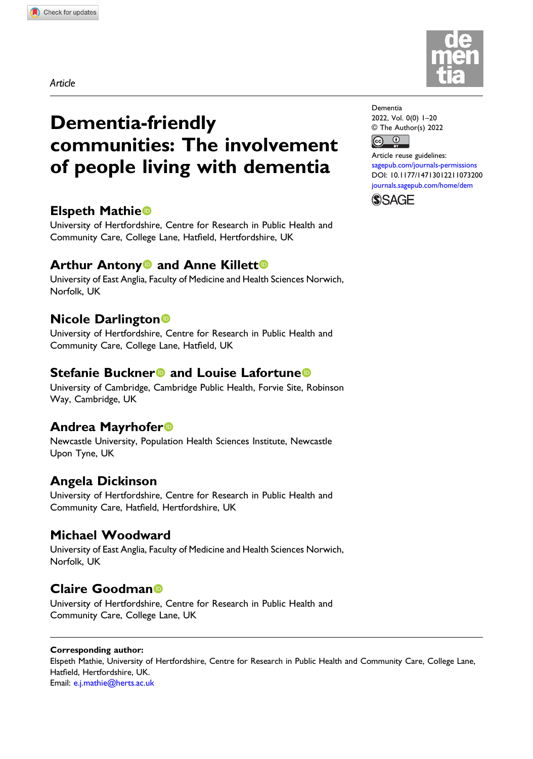Article

# Dementia-friendly communities: The involvement of people living with dementia

# Elspeth Mathie

University of Hertfordshire, Centre for Research in Public Health and Community Care, College Lane, Hatfield, Hertfordshire, UK

# **Arthur Antony<sup>o</sup> and Anne Killett<sup>o</sup>**

University of East Anglia, Faculty of Medicine and Health Sciences Norwich, Norfolk, UK

# Nicole Darlington

University of Hertfordshire, Centre for Research in Public Health and Community Care, College Lane, Hatfield, UK

## Stefanie Buckner<sup>®</sup> and Louise Lafortune<sup>®</sup>

University of Cambridge, Cambridge Public Health, Forvie Site, Robinson Way, Cambridge, UK

## Andrea Mayrhofer

Newcastle University, Population Health Sciences Institute, Newcastle Upon Tyne, UK

# Angela Dickinson

University of Hertfordshire, Centre for Research in Public Health and Community Care, Hatfield, Hertfordshire, UK

# Michael Woodward

University of East Anglia, Faculty of Medicine and Health Sciences Norwich, Norfolk, UK

# Claire Goodman

University of Hertfordshire, Centre for Research in Public Health and Community Care, College Lane, UK

#### Corresponding author:

Elspeth Mathie, University of Hertfordshire, Centre for Research in Public Health and Community Care, College Lane, Hatfield, Hertfordshire, UK. Email: [e.j.mathie@herts.ac.uk](mailto:e.j.mathie@herts.ac.uk)



Dementia 2022, Vol. 0(0) 1–20 © The Author(s) 2022  $\bigcirc$  $\left(\mathrm{G}\right)$ 

Article reuse guidelines: [sagepub.com/journals-permissions](https://uk.sagepub.com/en-gb/journals-permissions) DOI: [10.1177/14713012211073200](https://doi.org/10.1177/14713012211073200) [journals.sagepub.com/home/dem](https://journals.sagepub.com/home/dem)

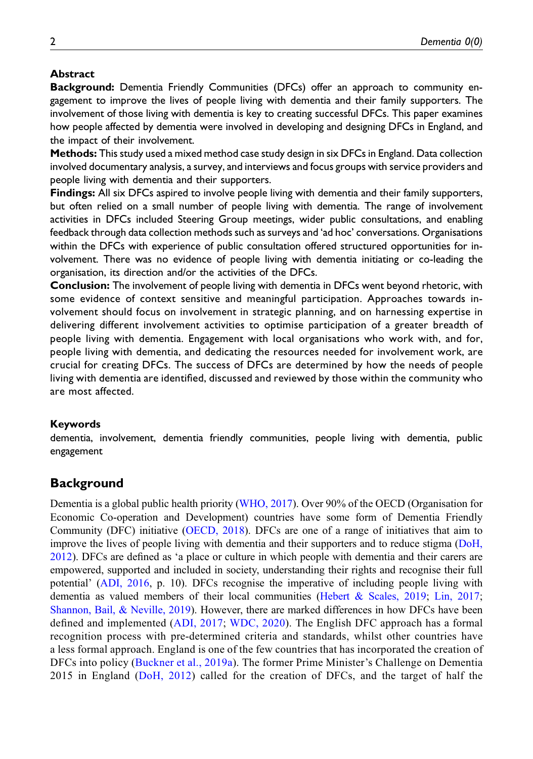### Abstract

Background: Dementia Friendly Communities (DFCs) offer an approach to community engagement to improve the lives of people living with dementia and their family supporters. The involvement of those living with dementia is key to creating successful DFCs. This paper examines how people affected by dementia were involved in developing and designing DFCs in England, and the impact of their involvement.

Methods: This study used a mixed method case study design in six DFCs in England. Data collection involved documentary analysis, a survey, and interviews and focus groups with service providers and people living with dementia and their supporters.

Findings: All six DFCs aspired to involve people living with dementia and their family supporters, but often relied on a small number of people living with dementia. The range of involvement activities in DFCs included Steering Group meetings, wider public consultations, and enabling feedback through data collection methods such as surveys and 'ad hoc' conversations. Organisations within the DFCs with experience of public consultation offered structured opportunities for involvement. There was no evidence of people living with dementia initiating or co-leading the organisation, its direction and/or the activities of the DFCs.

Conclusion: The involvement of people living with dementia in DFCs went beyond rhetoric, with some evidence of context sensitive and meaningful participation. Approaches towards involvement should focus on involvement in strategic planning, and on harnessing expertise in delivering different involvement activities to optimise participation of a greater breadth of people living with dementia. Engagement with local organisations who work with, and for, people living with dementia, and dedicating the resources needed for involvement work, are crucial for creating DFCs. The success of DFCs are determined by how the needs of people living with dementia are identified, discussed and reviewed by those within the community who are most affected.

#### Keywords

dementia, involvement, dementia friendly communities, people living with dementia, public engagement

## **Background**

Dementia is a global public health priority [\(WHO, 2017\)](#page-18-0). Over 90% of the OECD (Organisation for Economic Co-operation and Development) countries have some form of Dementia Friendly Community (DFC) initiative ([OECD, 2018](#page-17-0)). DFCs are one of a range of initiatives that aim to improve the lives of people living with dementia and their supporters and to reduce stigma ([DoH,](#page-17-1) [2012](#page-17-1)). DFCs are defined as 'a place or culture in which people with dementia and their carers are empowered, supported and included in society, understanding their rights and recognise their full potential' ([ADI, 2016](#page-16-0), p. 10). DFCs recognise the imperative of including people living with dementia as valued members of their local communities [\(Hebert & Scales, 2019;](#page-17-2) [Lin, 2017;](#page-17-3) [Shannon, Bail, & Neville, 2019\)](#page-18-1). However, there are marked differences in how DFCs have been defined and implemented ([ADI, 2017;](#page-16-1) [WDC, 2020](#page-18-2)). The English DFC approach has a formal recognition process with pre-determined criteria and standards, whilst other countries have a less formal approach. England is one of the few countries that has incorporated the creation of DFCs into policy [\(Buckner et al., 2019a](#page-16-2)). The former Prime Minister's Challenge on Dementia 2015 in England [\(DoH, 2012](#page-17-1)) called for the creation of DFCs, and the target of half the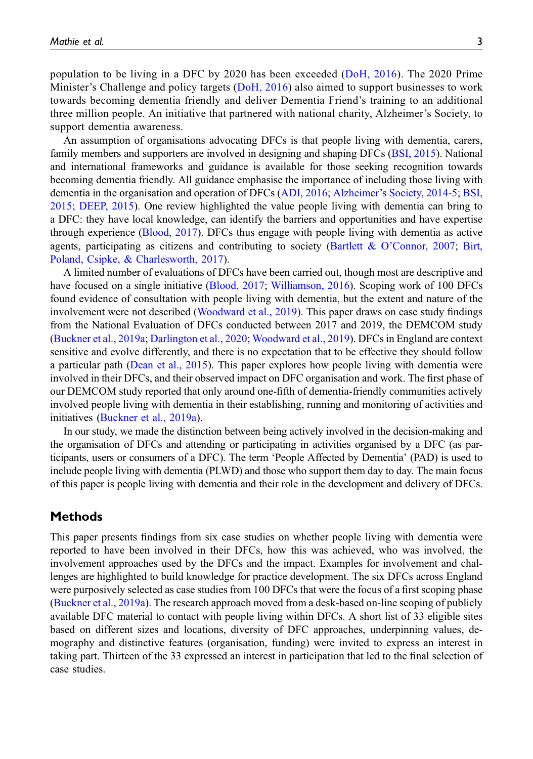population to be living in a DFC by 2020 has been exceeded ([DoH, 2016](#page-17-4)). The 2020 Prime Minister's Challenge and policy targets ([DoH, 2016\)](#page-17-4) also aimed to support businesses to work towards becoming dementia friendly and deliver Dementia Friend's training to an additional three million people. An initiative that partnered with national charity, Alzheimer's Society, to support dementia awareness.

An assumption of organisations advocating DFCs is that people living with dementia, carers, family members and supporters are involved in designing and shaping DFCs [\(BSI, 2015](#page-16-3)). National and international frameworks and guidance is available for those seeking recognition towards becoming dementia friendly. All guidance emphasise the importance of including those living with dementia in the organisation and operation of DFCs [\(ADI, 2016](#page-16-0); Alzheimer'[s Society, 2014-5;](#page-16-4) [BSI,](#page-16-3) [2015](#page-16-3); [DEEP, 2015](#page-16-5)). One review highlighted the value people living with dementia can bring to a DFC: they have local knowledge, can identify the barriers and opportunities and have expertise through experience ([Blood, 2017\)](#page-16-6). DFCs thus engage with people living with dementia as active agents, participating as citizens and contributing to society (Bartlett & O'[Connor, 2007;](#page-16-7) [Birt,](#page-16-8) [Poland, Csipke, & Charlesworth, 2017](#page-16-8)).

A limited number of evaluations of DFCs have been carried out, though most are descriptive and have focused on a single initiative [\(Blood, 2017](#page-16-6); [Williamson, 2016](#page-18-3)). Scoping work of 100 DFCs found evidence of consultation with people living with dementia, but the extent and nature of the involvement were not described [\(Woodward et al., 2019\)](#page-18-4). This paper draws on case study findings from the National Evaluation of DFCs conducted between 2017 and 2019, the DEMCOM study ([Buckner et al., 2019a](#page-16-2); [Darlington et al., 2020;](#page-16-9) [Woodward et al., 2019](#page-18-4)). DFCs in England are context sensitive and evolve differently, and there is no expectation that to be effective they should follow a particular path ([Dean et al., 2015\)](#page-16-10). This paper explores how people living with dementia were involved in their DFCs, and their observed impact on DFC organisation and work. The first phase of our DEMCOM study reported that only around one-fifth of dementia-friendly communities actively involved people living with dementia in their establishing, running and monitoring of activities and initiatives ([Buckner et al., 2019a\)](#page-16-2).

In our study, we made the distinction between being actively involved in the decision-making and the organisation of DFCs and attending or participating in activities organised by a DFC (as participants, users or consumers of a DFC). The term 'People Affected by Dementia' (PAD) is used to include people living with dementia (PLWD) and those who support them day to day. The main focus of this paper is people living with dementia and their role in the development and delivery of DFCs.

## Methods

This paper presents findings from six case studies on whether people living with dementia were reported to have been involved in their DFCs, how this was achieved, who was involved, the involvement approaches used by the DFCs and the impact. Examples for involvement and challenges are highlighted to build knowledge for practice development. The six DFCs across England were purposively selected as case studies from 100 DFCs that were the focus of a first scoping phase ([Buckner et al., 2019a](#page-16-2)). The research approach moved from a desk-based on-line scoping of publicly available DFC material to contact with people living within DFCs. A short list of 33 eligible sites based on different sizes and locations, diversity of DFC approaches, underpinning values, demography and distinctive features (organisation, funding) were invited to express an interest in taking part. Thirteen of the 33 expressed an interest in participation that led to the final selection of case studies.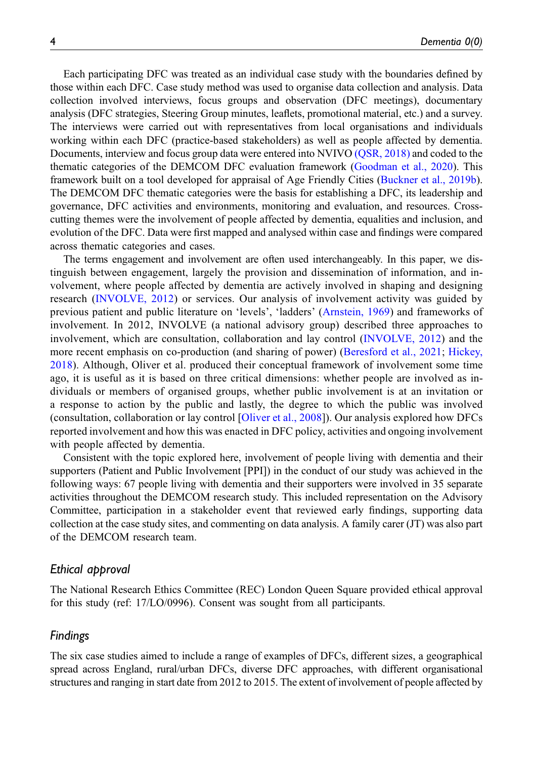Each participating DFC was treated as an individual case study with the boundaries defined by those within each DFC. Case study method was used to organise data collection and analysis. Data collection involved interviews, focus groups and observation (DFC meetings), documentary analysis (DFC strategies, Steering Group minutes, leaflets, promotional material, etc.) and a survey. The interviews were carried out with representatives from local organisations and individuals working within each DFC (practice-based stakeholders) as well as people affected by dementia. Documents, interview and focus group data were entered into NVIVO (OSR, 2018) and coded to the thematic categories of the DEMCOM DFC evaluation framework [\(Goodman et al., 2020\)](#page-17-6). This framework built on a tool developed for appraisal of Age Friendly Cities [\(Buckner et al., 2019b\)](#page-16-11). The DEMCOM DFC thematic categories were the basis for establishing a DFC, its leadership and governance, DFC activities and environments, monitoring and evaluation, and resources. Crosscutting themes were the involvement of people affected by dementia, equalities and inclusion, and evolution of the DFC. Data were first mapped and analysed within case and findings were compared across thematic categories and cases.

The terms engagement and involvement are often used interchangeably. In this paper, we distinguish between engagement, largely the provision and dissemination of information, and involvement, where people affected by dementia are actively involved in shaping and designing research [\(INVOLVE, 2012](#page-17-7)) or services. Our analysis of involvement activity was guided by previous patient and public literature on 'levels', 'ladders' ([Arnstein, 1969\)](#page-16-12) and frameworks of involvement. In 2012, INVOLVE (a national advisory group) described three approaches to involvement, which are consultation, collaboration and lay control ([INVOLVE, 2012](#page-17-7)) and the more recent emphasis on co-production (and sharing of power) ([Beresford et al., 2021;](#page-16-13) [Hickey,](#page-17-8) [2018\)](#page-17-8). Although, Oliver et al. produced their conceptual framework of involvement some time ago, it is useful as it is based on three critical dimensions: whether people are involved as individuals or members of organised groups, whether public involvement is at an invitation or a response to action by the public and lastly, the degree to which the public was involved (consultation, collaboration or lay control [\[Oliver et al., 2008](#page-18-5)]). Our analysis explored how DFCs reported involvement and how this was enacted in DFC policy, activities and ongoing involvement with people affected by dementia.

Consistent with the topic explored here, involvement of people living with dementia and their supporters (Patient and Public Involvement [PPI]) in the conduct of our study was achieved in the following ways: 67 people living with dementia and their supporters were involved in 35 separate activities throughout the DEMCOM research study. This included representation on the Advisory Committee, participation in a stakeholder event that reviewed early findings, supporting data collection at the case study sites, and commenting on data analysis. A family carer (JT) was also part of the DEMCOM research team.

### Ethical approval

The National Research Ethics Committee (REC) London Queen Square provided ethical approval for this study (ref: 17/LO/0996). Consent was sought from all participants.

### Findings

The six case studies aimed to include a range of examples of DFCs, different sizes, a geographical spread across England, rural/urban DFCs, diverse DFC approaches, with different organisational structures and ranging in start date from 2012 to 2015. The extent of involvement of people affected by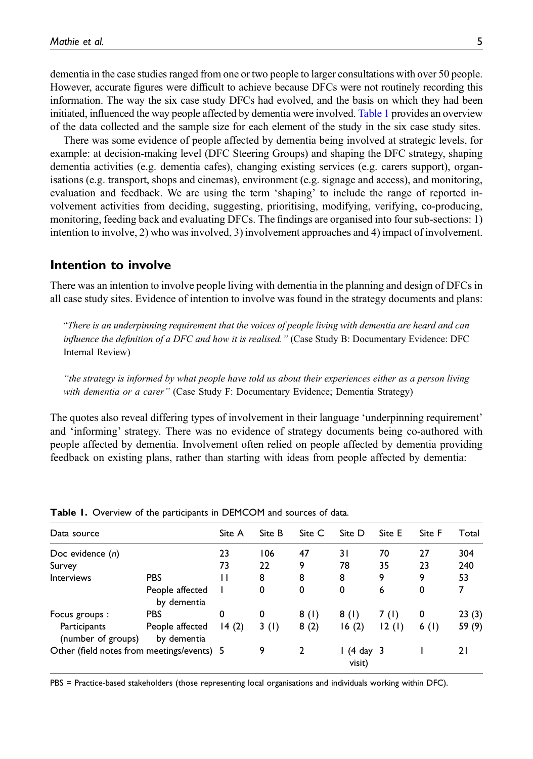dementia in the case studies ranged from one or two people to larger consultations with over 50 people. However, accurate figures were difficult to achieve because DFCs were not routinely recording this information. The way the six case study DFCs had evolved, and the basis on which they had been initiated, influenced the way people affected by dementia were involved. [Table 1](#page-4-0) provides an overview of the data collected and the sample size for each element of the study in the six case study sites.

There was some evidence of people affected by dementia being involved at strategic levels, for example: at decision-making level (DFC Steering Groups) and shaping the DFC strategy, shaping dementia activities (e.g. dementia cafes), changing existing services (e.g. carers support), organisations (e.g. transport, shops and cinemas), environment (e.g. signage and access), and monitoring, evaluation and feedback. We are using the term 'shaping' to include the range of reported involvement activities from deciding, suggesting, prioritising, modifying, verifying, co-producing, monitoring, feeding back and evaluating DFCs. The findings are organised into four sub-sections: 1) intention to involve, 2) who was involved, 3) involvement approaches and 4) impact of involvement.

## Intention to involve

There was an intention to involve people living with dementia in the planning and design of DFCs in all case study sites. Evidence of intention to involve was found in the strategy documents and plans:

"There is an underpinning requirement that the voices of people living with dementia are heard and can influence the definition of a DFC and how it is realised." (Case Study B: Documentary Evidence: DFC Internal Review)

"the strategy is informed by what people have told us about their experiences either as a person living with dementia or a carer" (Case Study F: Documentary Evidence; Dementia Strategy)

The quotes also reveal differing types of involvement in their language 'underpinning requirement' and 'informing' strategy. There was no evidence of strategy documents being co-authored with people affected by dementia. Involvement often relied on people affected by dementia providing feedback on existing plans, rather than starting with ideas from people affected by dementia:

| Data source                                |                                | Site A | Site B | Site C | Site D                 | Site E | Site F  | Total  |
|--------------------------------------------|--------------------------------|--------|--------|--------|------------------------|--------|---------|--------|
| Doc evidence $(n)$                         |                                | 23     | 106    | 47     | 31                     | 70     | 27      | 304    |
| Survey                                     |                                | 73     | 22     | 9      | 78                     | 35     | 23      | 240    |
| <b>Interviews</b>                          | <b>PBS</b>                     | Ш      | 8      | 8      | 8                      | 9      | 9       | 53     |
|                                            | People affected<br>by dementia |        | 0      | 0      | 0                      | 6      | 0       |        |
| Focus groups:                              | <b>PBS</b>                     | 0      | 0      | 8(1)   | 8(1)                   | 7 (I)  | 0       | 23(3)  |
| Participants<br>(number of groups)         | People affected<br>by dementia | 14(2)  | 3(1)   | 8(2)   | 16(2)                  | 12(1)  | 6 $(1)$ | 59 (9) |
| Other (field notes from meetings/events) 5 |                                |        | 9      | 2      | $1(4)$ day 3<br>visit) |        |         | 21     |

Table 1. Overview of the participants in DEMCOM and sources of data.

<span id="page-4-0"></span>PBS = Practice-based stakeholders (those representing local organisations and individuals working within DFC).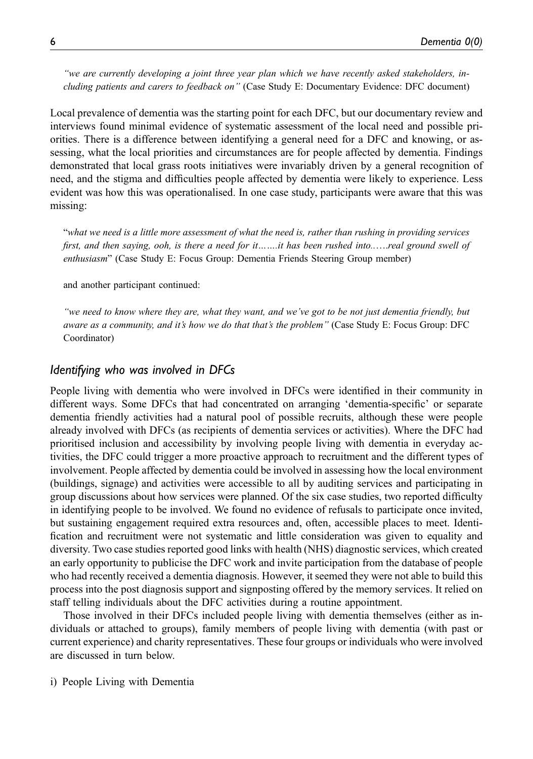"we are currently developing a joint three year plan which we have recently asked stakeholders, including patients and carers to feedback on" (Case Study E: Documentary Evidence: DFC document)

Local prevalence of dementia was the starting point for each DFC, but our documentary review and interviews found minimal evidence of systematic assessment of the local need and possible priorities. There is a difference between identifying a general need for a DFC and knowing, or assessing, what the local priorities and circumstances are for people affected by dementia. Findings demonstrated that local grass roots initiatives were invariably driven by a general recognition of need, and the stigma and difficulties people affected by dementia were likely to experience. Less evident was how this was operationalised. In one case study, participants were aware that this was missing:

"what we need is a little more assessment of what the need is, rather than rushing in providing services first, and then saying, ooh, is there a need for it…….it has been rushed into......real ground swell of enthusiasm" (Case Study E: Focus Group: Dementia Friends Steering Group member)

and another participant continued:

"we need to know where they are, what they want, and we've got to be not just dementia friendly, but aware as a community, and it's how we do that that's the problem" (Case Study E: Focus Group: DFC Coordinator)

## Identifying who was involved in DFCs

People living with dementia who were involved in DFCs were identified in their community in different ways. Some DFCs that had concentrated on arranging 'dementia-specific' or separate dementia friendly activities had a natural pool of possible recruits, although these were people already involved with DFCs (as recipients of dementia services or activities). Where the DFC had prioritised inclusion and accessibility by involving people living with dementia in everyday activities, the DFC could trigger a more proactive approach to recruitment and the different types of involvement. People affected by dementia could be involved in assessing how the local environment (buildings, signage) and activities were accessible to all by auditing services and participating in group discussions about how services were planned. Of the six case studies, two reported difficulty in identifying people to be involved. We found no evidence of refusals to participate once invited, but sustaining engagement required extra resources and, often, accessible places to meet. Identification and recruitment were not systematic and little consideration was given to equality and diversity. Two case studies reported good links with health (NHS) diagnostic services, which created an early opportunity to publicise the DFC work and invite participation from the database of people who had recently received a dementia diagnosis. However, it seemed they were not able to build this process into the post diagnosis support and signposting offered by the memory services. It relied on staff telling individuals about the DFC activities during a routine appointment.

Those involved in their DFCs included people living with dementia themselves (either as individuals or attached to groups), family members of people living with dementia (with past or current experience) and charity representatives. These four groups or individuals who were involved are discussed in turn below.

i) People Living with Dementia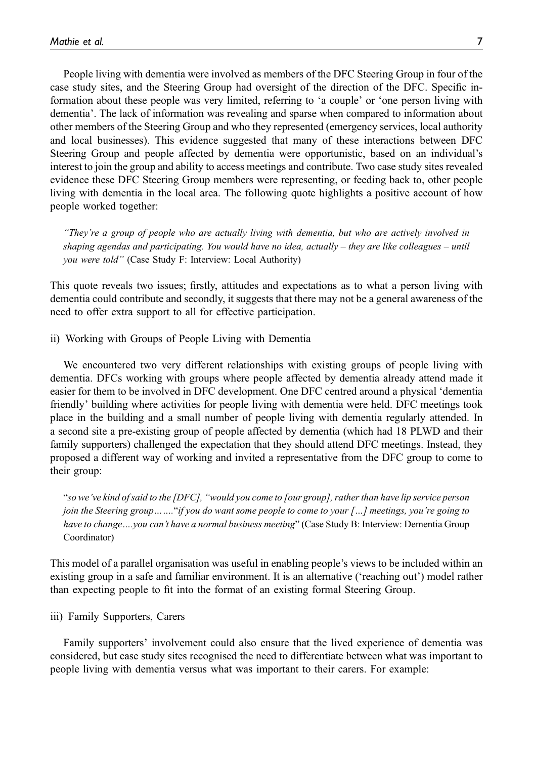People living with dementia were involved as members of the DFC Steering Group in four of the case study sites, and the Steering Group had oversight of the direction of the DFC. Specific information about these people was very limited, referring to 'a couple' or 'one person living with dementia'. The lack of information was revealing and sparse when compared to information about other members of the Steering Group and who they represented (emergency services, local authority and local businesses). This evidence suggested that many of these interactions between DFC Steering Group and people affected by dementia were opportunistic, based on an individual's interest to join the group and ability to access meetings and contribute. Two case study sites revealed evidence these DFC Steering Group members were representing, or feeding back to, other people living with dementia in the local area. The following quote highlights a positive account of how people worked together:

"They're a group of people who are actually living with dementia, but who are actively involved in shaping agendas and participating. You would have no idea, actually – they are like colleagues – until you were told" (Case Study F: Interview: Local Authority)

This quote reveals two issues; firstly, attitudes and expectations as to what a person living with dementia could contribute and secondly, it suggests that there may not be a general awareness of the need to offer extra support to all for effective participation.

ii) Working with Groups of People Living with Dementia

We encountered two very different relationships with existing groups of people living with dementia. DFCs working with groups where people affected by dementia already attend made it easier for them to be involved in DFC development. One DFC centred around a physical 'dementia friendly' building where activities for people living with dementia were held. DFC meetings took place in the building and a small number of people living with dementia regularly attended. In a second site a pre-existing group of people affected by dementia (which had 18 PLWD and their family supporters) challenged the expectation that they should attend DFC meetings. Instead, they proposed a different way of working and invited a representative from the DFC group to come to their group:

"so we've kind of said to the [DFC], "would you come to [our group], rather than have lip service person join the Steering group……."if you do want some people to come to your […] meetings, you're going to have to change....you can't have a normal business meeting" (Case Study B: Interview: Dementia Group Coordinator)

This model of a parallel organisation was useful in enabling people's views to be included within an existing group in a safe and familiar environment. It is an alternative ('reaching out') model rather than expecting people to fit into the format of an existing formal Steering Group.

iii) Family Supporters, Carers

Family supporters' involvement could also ensure that the lived experience of dementia was considered, but case study sites recognised the need to differentiate between what was important to people living with dementia versus what was important to their carers. For example: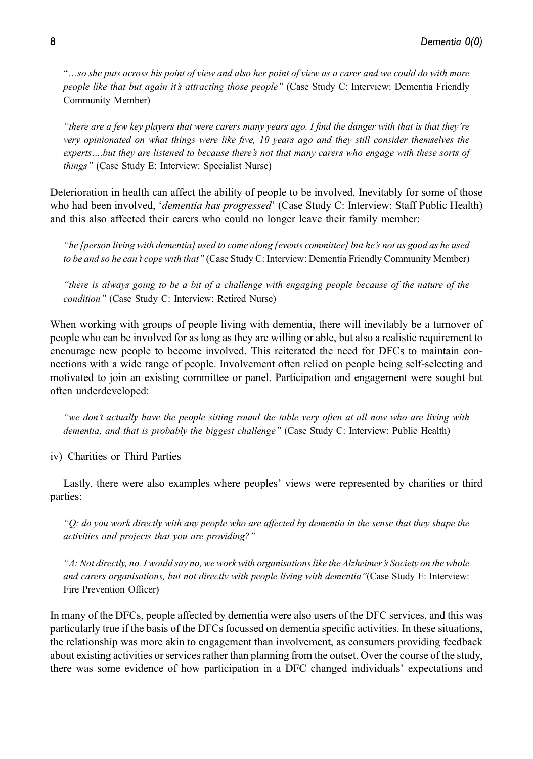"…so she puts across his point of view and also her point of view as a carer and we could do with more people like that but again it's attracting those people" (Case Study C: Interview: Dementia Friendly Community Member)

"there are a few key players that were carers many years ago. I find the danger with that is that they're very opinionated on what things were like five, 10 years ago and they still consider themselves the experts….but they are listened to because there's not that many carers who engage with these sorts of things" (Case Study E: Interview: Specialist Nurse)

Deterioration in health can affect the ability of people to be involved. Inevitably for some of those who had been involved, '*dementia has progressed'* (Case Study C: Interview: Staff Public Health) and this also affected their carers who could no longer leave their family member:

"he [person living with dementia] used to come along [events committee] but he's not as good as he used to be and so he can't cope with that" (Case Study C: Interview: Dementia Friendly Community Member)

"there is always going to be a bit of a challenge with engaging people because of the nature of the condition" (Case Study C: Interview: Retired Nurse)

When working with groups of people living with dementia, there will inevitably be a turnover of people who can be involved for as long as they are willing or able, but also a realistic requirement to encourage new people to become involved. This reiterated the need for DFCs to maintain connections with a wide range of people. Involvement often relied on people being self-selecting and motivated to join an existing committee or panel. Participation and engagement were sought but often underdeveloped:

"we don't actually have the people sitting round the table very often at all now who are living with dementia, and that is probably the biggest challenge" (Case Study C: Interview: Public Health)

iv) Charities or Third Parties

Lastly, there were also examples where peoples' views were represented by charities or third parties:

" $Q$ : do you work directly with any people who are affected by dementia in the sense that they shape the activities and projects that you are providing?"

"A: Not directly, no. I would say no, we work with organisations like the Alzheimer's Society on the whole and carers organisations, but not directly with people living with dementia"(Case Study E: Interview: Fire Prevention Officer)

In many of the DFCs, people affected by dementia were also users of the DFC services, and this was particularly true if the basis of the DFCs focussed on dementia specific activities. In these situations, the relationship was more akin to engagement than involvement, as consumers providing feedback about existing activities or services rather than planning from the outset. Over the course of the study, there was some evidence of how participation in a DFC changed individuals' expectations and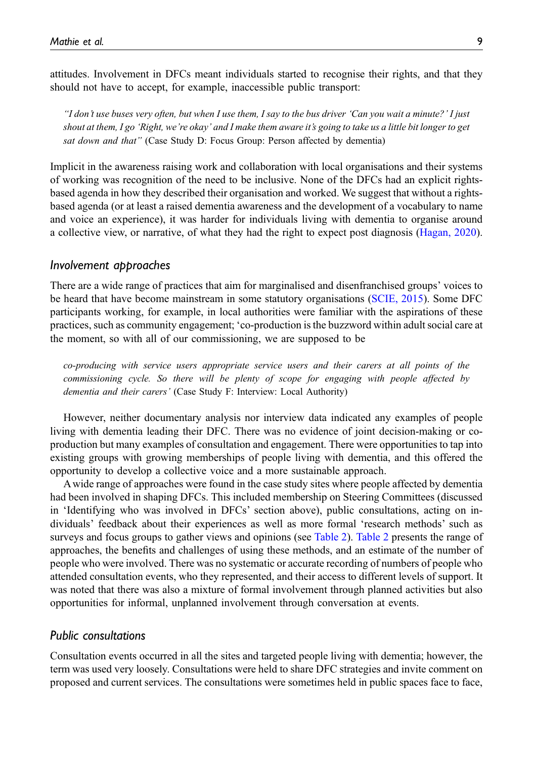attitudes. Involvement in DFCs meant individuals started to recognise their rights, and that they should not have to accept, for example, inaccessible public transport:

"I don't use buses very often, but when I use them, I say to the bus driver 'Can you wait a minute?' I just shout at them, I go 'Right, we're okay' and I make them aware it's going to take us a little bit longer to get sat down and that" (Case Study D: Focus Group: Person affected by dementia)

Implicit in the awareness raising work and collaboration with local organisations and their systems of working was recognition of the need to be inclusive. None of the DFCs had an explicit rightsbased agenda in how they described their organisation and worked. We suggest that without a rightsbased agenda (or at least a raised dementia awareness and the development of a vocabulary to name and voice an experience), it was harder for individuals living with dementia to organise around a collective view, or narrative, of what they had the right to expect post diagnosis ([Hagan, 2020\)](#page-17-9).

#### Involvement approaches

There are a wide range of practices that aim for marginalised and disenfranchised groups' voices to be heard that have become mainstream in some statutory organisations ([SCIE, 2015\)](#page-18-6). Some DFC participants working, for example, in local authorities were familiar with the aspirations of these practices, such as community engagement; 'co-production is the buzzword within adult social care at the moment, so with all of our commissioning, we are supposed to be

co-producing with service users appropriate service users and their carers at all points of the commissioning cycle. So there will be plenty of scope for engaging with people affected by dementia and their carers' (Case Study F: Interview: Local Authority)

However, neither documentary analysis nor interview data indicated any examples of people living with dementia leading their DFC. There was no evidence of joint decision-making or coproduction but many examples of consultation and engagement. There were opportunities to tap into existing groups with growing memberships of people living with dementia, and this offered the opportunity to develop a collective voice and a more sustainable approach.

A wide range of approaches were found in the case study sites where people affected by dementia had been involved in shaping DFCs. This included membership on Steering Committees (discussed in 'Identifying who was involved in DFCs' section above), public consultations, acting on individuals' feedback about their experiences as well as more formal 'research methods' such as surveys and focus groups to gather views and opinions (see [Table 2\)](#page-9-0). [Table 2](#page-9-0) presents the range of approaches, the benefits and challenges of using these methods, and an estimate of the number of people who were involved. There was no systematic or accurate recording of numbers of people who attended consultation events, who they represented, and their access to different levels of support. It was noted that there was also a mixture of formal involvement through planned activities but also opportunities for informal, unplanned involvement through conversation at events.

### Public consultations

Consultation events occurred in all the sites and targeted people living with dementia; however, the term was used very loosely. Consultations were held to share DFC strategies and invite comment on proposed and current services. The consultations were sometimes held in public spaces face to face,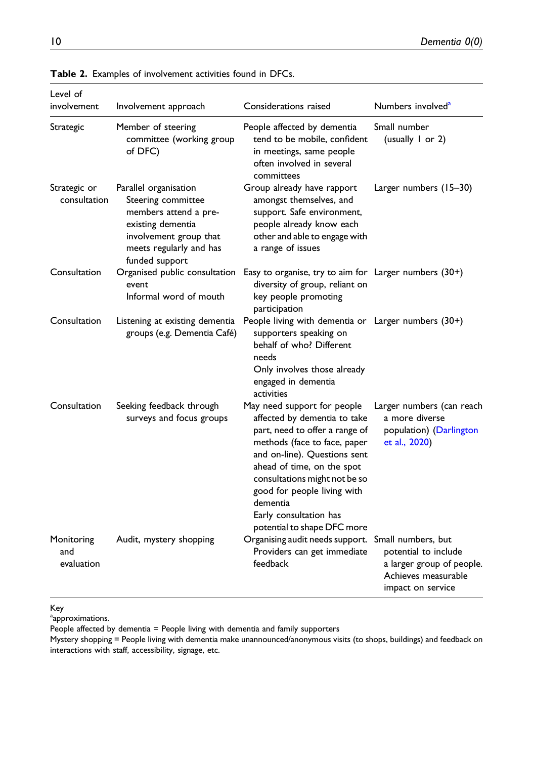| Level of<br>involvement         | Involvement approach                                                                                                                                             | Considerations raised                                                                                                                                                                                                                                                                                                            | Numbers involved <sup>a</sup>                                                                 |
|---------------------------------|------------------------------------------------------------------------------------------------------------------------------------------------------------------|----------------------------------------------------------------------------------------------------------------------------------------------------------------------------------------------------------------------------------------------------------------------------------------------------------------------------------|-----------------------------------------------------------------------------------------------|
| Strategic                       | Member of steering<br>committee (working group<br>of DFC)                                                                                                        | People affected by dementia<br>tend to be mobile, confident<br>in meetings, same people<br>often involved in several<br>committees                                                                                                                                                                                               | Small number<br>(usually $1$ or 2)                                                            |
| Strategic or<br>consultation    | Parallel organisation<br>Steering committee<br>members attend a pre-<br>existing dementia<br>involvement group that<br>meets regularly and has<br>funded support | Group already have rapport<br>amongst themselves, and<br>support. Safe environment,<br>people already know each<br>other and able to engage with<br>a range of issues                                                                                                                                                            | Larger numbers (15–30)                                                                        |
| Consultation                    | Organised public consultation<br>event<br>Informal word of mouth                                                                                                 | Easy to organise, try to aim for Larger numbers (30+)<br>diversity of group, reliant on<br>key people promoting<br>participation                                                                                                                                                                                                 |                                                                                               |
| Consultation                    | Listening at existing dementia<br>groups (e.g. Dementia Café)                                                                                                    | People living with dementia or Larger numbers (30+)<br>supporters speaking on<br>behalf of who? Different<br>needs<br>Only involves those already<br>engaged in dementia<br>activities                                                                                                                                           |                                                                                               |
| Consultation                    | Seeking feedback through<br>surveys and focus groups                                                                                                             | May need support for people<br>affected by dementia to take<br>part, need to offer a range of<br>methods (face to face, paper<br>and on-line). Questions sent<br>ahead of time, on the spot<br>consultations might not be so<br>good for people living with<br>dementia<br>Early consultation has<br>potential to shape DFC more | Larger numbers (can reach<br>a more diverse<br>population) (Darlington<br>et al., 2020)       |
| Monitoring<br>and<br>evaluation | Audit, mystery shopping                                                                                                                                          | Organising audit needs support. Small numbers, but<br>Providers can get immediate<br>feedback                                                                                                                                                                                                                                    | potential to include<br>a larger group of people.<br>Achieves measurable<br>impact on service |

Table 2. Examples of involvement activities found in DFCs.

Key

<span id="page-9-1"></span><sup>a</sup>approximations.

People affected by dementia = People living with dementia and family supporters

<span id="page-9-0"></span>Mystery shopping = People living with dementia make unannounced/anonymous visits (to shops, buildings) and feedback on interactions with staff, accessibility, signage, etc.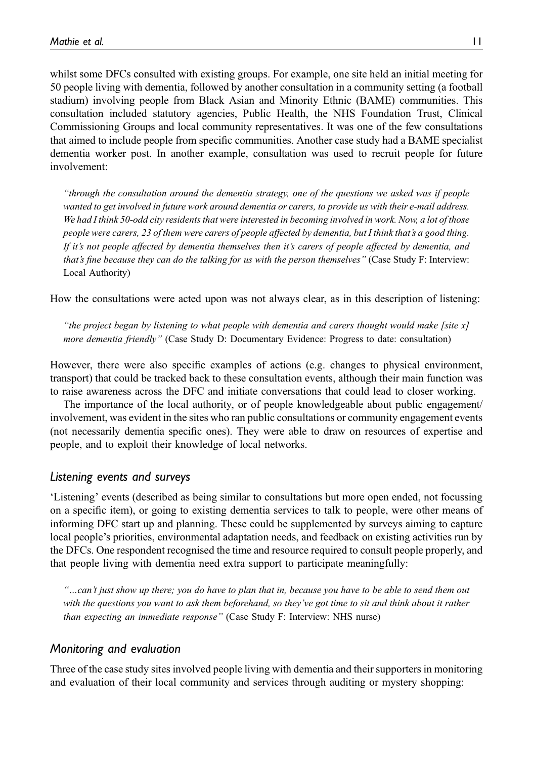whilst some DFCs consulted with existing groups. For example, one site held an initial meeting for 50 people living with dementia, followed by another consultation in a community setting (a football stadium) involving people from Black Asian and Minority Ethnic (BAME) communities. This consultation included statutory agencies, Public Health, the NHS Foundation Trust, Clinical Commissioning Groups and local community representatives. It was one of the few consultations that aimed to include people from specific communities. Another case study had a BAME specialist dementia worker post. In another example, consultation was used to recruit people for future involvement:

"through the consultation around the dementia strategy, one of the questions we asked was if people wanted to get involved in future work around dementia or carers, to provide us with their e-mail address. We had I think 50-odd city residents that were interested in becoming involved in work. Now, a lot of those people were carers, 23 of them were carers of people affected by dementia, but I think that's a good thing. If it's not people affected by dementia themselves then it's carers of people affected by dementia, and that's fine because they can do the talking for us with the person themselves" (Case Study F: Interview: Local Authority)

How the consultations were acted upon was not always clear, as in this description of listening:

"the project began by listening to what people with dementia and carers thought would make [site  $x$ ] more dementia friendly" (Case Study D: Documentary Evidence: Progress to date: consultation)

However, there were also specific examples of actions (e.g. changes to physical environment, transport) that could be tracked back to these consultation events, although their main function was to raise awareness across the DFC and initiate conversations that could lead to closer working.

The importance of the local authority, or of people knowledgeable about public engagement/ involvement, was evident in the sites who ran public consultations or community engagement events (not necessarily dementia specific ones). They were able to draw on resources of expertise and people, and to exploit their knowledge of local networks.

#### Listening events and surveys

'Listening' events (described as being similar to consultations but more open ended, not focussing on a specific item), or going to existing dementia services to talk to people, were other means of informing DFC start up and planning. These could be supplemented by surveys aiming to capture local people's priorities, environmental adaptation needs, and feedback on existing activities run by the DFCs. One respondent recognised the time and resource required to consult people properly, and that people living with dementia need extra support to participate meaningfully:

"…can't just show up there; you do have to plan that in, because you have to be able to send them out with the questions you want to ask them beforehand, so they've got time to sit and think about it rather than expecting an immediate response" (Case Study F: Interview: NHS nurse)

### Monitoring and evaluation

Three of the case study sites involved people living with dementia and their supporters in monitoring and evaluation of their local community and services through auditing or mystery shopping: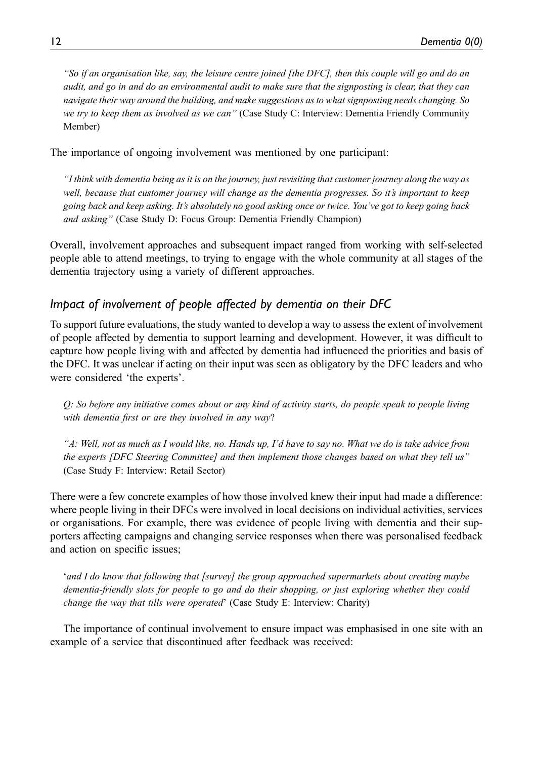"So if an organisation like, say, the leisure centre joined [the DFC], then this couple will go and do an audit, and go in and do an environmental audit to make sure that the signposting is clear, that they can navigate their way around the building, and make suggestions as to what signposting needs changing. So we try to keep them as involved as we can" (Case Study C: Interview: Dementia Friendly Community Member)

The importance of ongoing involvement was mentioned by one participant:

"I think with dementia being as it is on the journey, just revisiting that customer journey along the way as well, because that customer journey will change as the dementia progresses. So it's important to keep going back and keep asking. It's absolutely no good asking once or twice. You've got to keep going back and asking" (Case Study D: Focus Group: Dementia Friendly Champion)

Overall, involvement approaches and subsequent impact ranged from working with self-selected people able to attend meetings, to trying to engage with the whole community at all stages of the dementia trajectory using a variety of different approaches.

## Impact of involvement of people affected by dementia on their DFC

To support future evaluations, the study wanted to develop a way to assess the extent of involvement of people affected by dementia to support learning and development. However, it was difficult to capture how people living with and affected by dementia had influenced the priorities and basis of the DFC. It was unclear if acting on their input was seen as obligatory by the DFC leaders and who were considered 'the experts'.

Q: So before any initiative comes about or any kind of activity starts, do people speak to people living with dementia first or are they involved in any way?

"A: Well, not as much as I would like, no. Hands up, I'd have to say no. What we do is take advice from the experts [DFC Steering Committee] and then implement those changes based on what they tell us" (Case Study F: Interview: Retail Sector)

There were a few concrete examples of how those involved knew their input had made a difference: where people living in their DFCs were involved in local decisions on individual activities, services or organisations. For example, there was evidence of people living with dementia and their supporters affecting campaigns and changing service responses when there was personalised feedback and action on specific issues;

'and I do know that following that [survey] the group approached supermarkets about creating maybe dementia-friendly slots for people to go and do their shopping, or just exploring whether they could change the way that tills were operated' (Case Study E: Interview: Charity)

The importance of continual involvement to ensure impact was emphasised in one site with an example of a service that discontinued after feedback was received: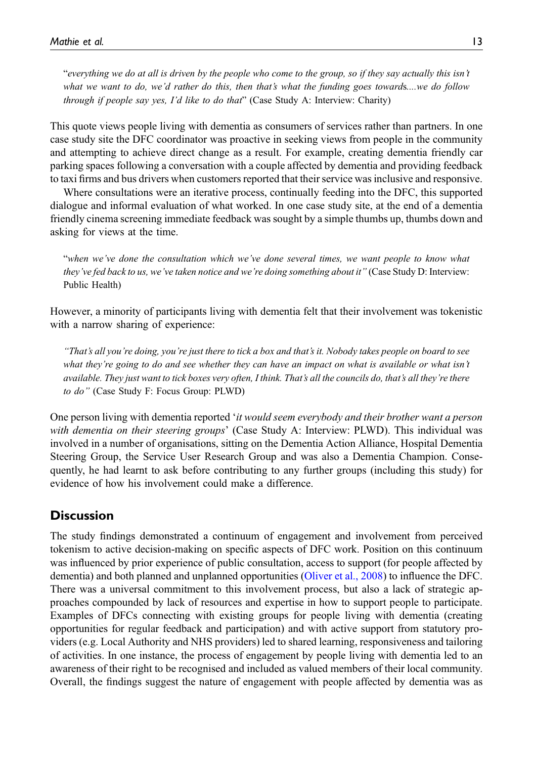"everything we do at all is driven by the people who come to the group, so if they say actually this isn't what we want to do, we'd rather do this, then that's what the funding goes towards...we do follow through if people say yes, I'd like to do that" (Case Study A: Interview: Charity)

This quote views people living with dementia as consumers of services rather than partners. In one case study site the DFC coordinator was proactive in seeking views from people in the community and attempting to achieve direct change as a result. For example, creating dementia friendly car parking spaces following a conversation with a couple affected by dementia and providing feedback to taxi firms and bus drivers when customers reported that their service was inclusive and responsive.

Where consultations were an iterative process, continually feeding into the DFC, this supported dialogue and informal evaluation of what worked. In one case study site, at the end of a dementia friendly cinema screening immediate feedback was sought by a simple thumbs up, thumbs down and asking for views at the time.

"when we've done the consultation which we've done several times, we want people to know what they've fed back to us, we've taken notice and we're doing something about it" (Case Study D: Interview: Public Health)

However, a minority of participants living with dementia felt that their involvement was tokenistic with a narrow sharing of experience:

"That's all you're doing, you're just there to tick a box and that's it. Nobody takes people on board to see what they're going to do and see whether they can have an impact on what is available or what isn't available. They just want to tick boxes very often, I think. That's all the councils do, that's all they're there to do" (Case Study F: Focus Group: PLWD)

One person living with dementia reported 'it would seem everybody and their brother want a person with dementia on their steering groups' (Case Study A: Interview: PLWD). This individual was involved in a number of organisations, sitting on the Dementia Action Alliance, Hospital Dementia Steering Group, the Service User Research Group and was also a Dementia Champion. Consequently, he had learnt to ask before contributing to any further groups (including this study) for evidence of how his involvement could make a difference.

## **Discussion**

The study findings demonstrated a continuum of engagement and involvement from perceived tokenism to active decision-making on specific aspects of DFC work. Position on this continuum was influenced by prior experience of public consultation, access to support (for people affected by dementia) and both planned and unplanned opportunities [\(Oliver et al., 2008](#page-18-5)) to influence the DFC. There was a universal commitment to this involvement process, but also a lack of strategic approaches compounded by lack of resources and expertise in how to support people to participate. Examples of DFCs connecting with existing groups for people living with dementia (creating opportunities for regular feedback and participation) and with active support from statutory providers (e.g. Local Authority and NHS providers) led to shared learning, responsiveness and tailoring of activities. In one instance, the process of engagement by people living with dementia led to an awareness of their right to be recognised and included as valued members of their local community. Overall, the findings suggest the nature of engagement with people affected by dementia was as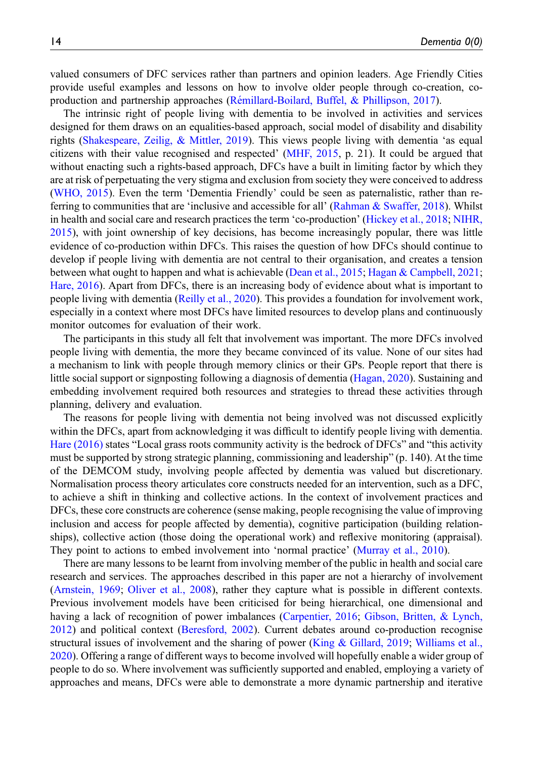valued consumers of DFC services rather than partners and opinion leaders. Age Friendly Cities provide useful examples and lessons on how to involve older people through co-creation, coproduction and partnership approaches (Rémillard-Boilard, Buffel, & Phillipson, 2017).

The intrinsic right of people living with dementia to be involved in activities and services designed for them draws on an equalities-based approach, social model of disability and disability rights ([Shakespeare, Zeilig, & Mittler, 2019\)](#page-18-8). This views people living with dementia 'as equal citizens with their value recognised and respected' [\(MHF, 2015](#page-17-10), p. 21). It could be argued that without enacting such a rights-based approach, DFCs have a built in limiting factor by which they are at risk of perpetuating the very stigma and exclusion from society they were conceived to address ([WHO, 2015](#page-18-9)). Even the term 'Dementia Friendly' could be seen as paternalistic, rather than re-ferring to communities that are 'inclusive and accessible for all' [\(Rahman & Swaffer, 2018](#page-18-10)). Whilst in health and social care and research practices the term 'co-production' [\(Hickey et al., 2018](#page-17-11); [NIHR,](#page-17-12) [2015](#page-17-12)), with joint ownership of key decisions, has become increasingly popular, there was little evidence of co-production within DFCs. This raises the question of how DFCs should continue to develop if people living with dementia are not central to their organisation, and creates a tension between what ought to happen and what is achievable ([Dean et al., 2015](#page-16-10); [Hagan & Campbell, 2021;](#page-17-13) [Hare, 2016\)](#page-17-14). Apart from DFCs, there is an increasing body of evidence about what is important to people living with dementia [\(Reilly et al., 2020\)](#page-18-11). This provides a foundation for involvement work, especially in a context where most DFCs have limited resources to develop plans and continuously monitor outcomes for evaluation of their work.

The participants in this study all felt that involvement was important. The more DFCs involved people living with dementia, the more they became convinced of its value. None of our sites had a mechanism to link with people through memory clinics or their GPs. People report that there is little social support or signposting following a diagnosis of dementia ([Hagan, 2020](#page-17-9)). Sustaining and embedding involvement required both resources and strategies to thread these activities through planning, delivery and evaluation.

The reasons for people living with dementia not being involved was not discussed explicitly within the DFCs, apart from acknowledging it was difficult to identify people living with dementia. [Hare \(2016\)](#page-17-14) states "Local grass roots community activity is the bedrock of DFCs" and "this activity must be supported by strong strategic planning, commissioning and leadership" (p. 140). At the time of the DEMCOM study, involving people affected by dementia was valued but discretionary. Normalisation process theory articulates core constructs needed for an intervention, such as a DFC, to achieve a shift in thinking and collective actions. In the context of involvement practices and DFCs, these core constructs are coherence (sense making, people recognising the value of improving inclusion and access for people affected by dementia), cognitive participation (building relationships), collective action (those doing the operational work) and reflexive monitoring (appraisal). They point to actions to embed involvement into 'normal practice' ([Murray et al., 2010](#page-17-15)).

There are many lessons to be learnt from involving member of the public in health and social care research and services. The approaches described in this paper are not a hierarchy of involvement ([Arnstein, 1969;](#page-16-12) [Oliver et al., 2008\)](#page-18-5), rather they capture what is possible in different contexts. Previous involvement models have been criticised for being hierarchical, one dimensional and having a lack of recognition of power imbalances ([Carpentier, 2016](#page-16-14); [Gibson, Britten, & Lynch,](#page-17-16) [2012](#page-17-16)) and political context ([Beresford, 2002](#page-16-15)). Current debates around co-production recognise structural issues of involvement and the sharing of power ([King & Gillard, 2019;](#page-17-17) [Williams et al.,](#page-18-12) [2020](#page-18-12)). Offering a range of different ways to become involved will hopefully enable a wider group of people to do so. Where involvement was sufficiently supported and enabled, employing a variety of approaches and means, DFCs were able to demonstrate a more dynamic partnership and iterative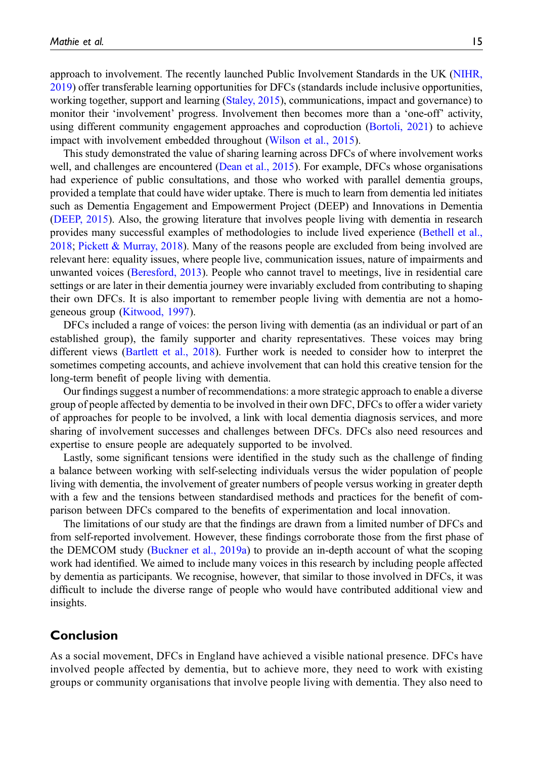approach to involvement. The recently launched Public Involvement Standards in the UK ([NIHR,](#page-17-18) [2019](#page-17-18)) offer transferable learning opportunities for DFCs (standards include inclusive opportunities, working together, support and learning [\(Staley, 2015](#page-18-13)), communications, impact and governance) to monitor their 'involvement' progress. Involvement then becomes more than a 'one-off' activity, using different community engagement approaches and coproduction ([Bortoli, 2021](#page-16-16)) to achieve impact with involvement embedded throughout [\(Wilson et al., 2015\)](#page-18-14).

This study demonstrated the value of sharing learning across DFCs of where involvement works well, and challenges are encountered [\(Dean et al., 2015](#page-16-10)). For example, DFCs whose organisations had experience of public consultations, and those who worked with parallel dementia groups, provided a template that could have wider uptake. There is much to learn from dementia led initiates such as Dementia Engagement and Empowerment Project (DEEP) and Innovations in Dementia ([DEEP, 2015](#page-16-5)). Also, the growing literature that involves people living with dementia in research provides many successful examples of methodologies to include lived experience [\(Bethell et al.,](#page-16-17) [2018](#page-16-17); [Pickett & Murray, 2018](#page-18-15)). Many of the reasons people are excluded from being involved are relevant here: equality issues, where people live, communication issues, nature of impairments and unwanted voices [\(Beresford, 2013\)](#page-16-18). People who cannot travel to meetings, live in residential care settings or are later in their dementia journey were invariably excluded from contributing to shaping their own DFCs. It is also important to remember people living with dementia are not a homogeneous group ([Kitwood, 1997](#page-17-19)).

DFCs included a range of voices: the person living with dementia (as an individual or part of an established group), the family supporter and charity representatives. These voices may bring different views ([Bartlett et al., 2018](#page-16-19)). Further work is needed to consider how to interpret the sometimes competing accounts, and achieve involvement that can hold this creative tension for the long-term benefit of people living with dementia.

Our findings suggest a number of recommendations: a more strategic approach to enable a diverse group of people affected by dementia to be involved in their own DFC, DFCs to offer a wider variety of approaches for people to be involved, a link with local dementia diagnosis services, and more sharing of involvement successes and challenges between DFCs. DFCs also need resources and expertise to ensure people are adequately supported to be involved.

Lastly, some significant tensions were identified in the study such as the challenge of finding a balance between working with self-selecting individuals versus the wider population of people living with dementia, the involvement of greater numbers of people versus working in greater depth with a few and the tensions between standardised methods and practices for the benefit of comparison between DFCs compared to the benefits of experimentation and local innovation.

The limitations of our study are that the findings are drawn from a limited number of DFCs and from self-reported involvement. However, these findings corroborate those from the first phase of the DEMCOM study [\(Buckner et al., 2019a](#page-16-2)) to provide an in-depth account of what the scoping work had identified. We aimed to include many voices in this research by including people affected by dementia as participants. We recognise, however, that similar to those involved in DFCs, it was difficult to include the diverse range of people who would have contributed additional view and insights.

## Conclusion

As a social movement, DFCs in England have achieved a visible national presence. DFCs have involved people affected by dementia, but to achieve more, they need to work with existing groups or community organisations that involve people living with dementia. They also need to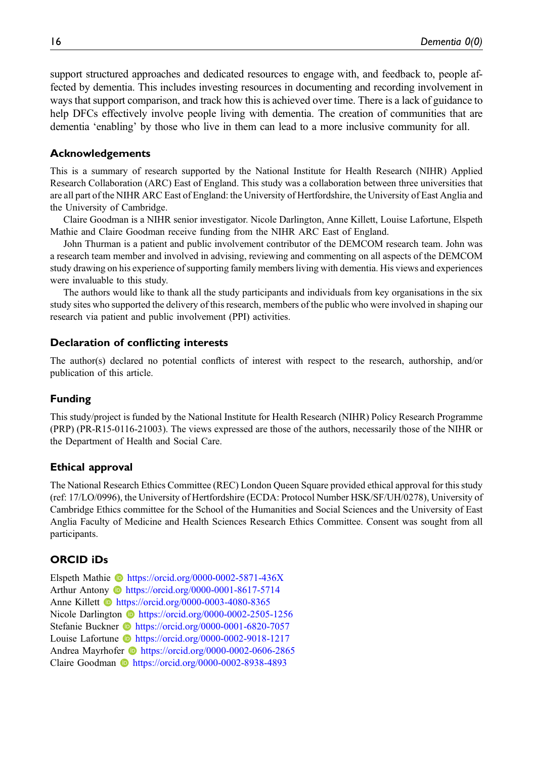support structured approaches and dedicated resources to engage with, and feedback to, people affected by dementia. This includes investing resources in documenting and recording involvement in ways that support comparison, and track how this is achieved over time. There is a lack of guidance to help DFCs effectively involve people living with dementia. The creation of communities that are dementia 'enabling' by those who live in them can lead to a more inclusive community for all.

#### Acknowledgements

This is a summary of research supported by the National Institute for Health Research (NIHR) Applied Research Collaboration (ARC) East of England. This study was a collaboration between three universities that are all part of the NIHR ARC East of England: the University of Hertfordshire, the University of East Anglia and the University of Cambridge.

Claire Goodman is a NIHR senior investigator. Nicole Darlington, Anne Killett, Louise Lafortune, Elspeth Mathie and Claire Goodman receive funding from the NIHR ARC East of England.

John Thurman is a patient and public involvement contributor of the DEMCOM research team. John was a research team member and involved in advising, reviewing and commenting on all aspects of the DEMCOM study drawing on his experience of supporting family members living with dementia. His views and experiences were invaluable to this study.

The authors would like to thank all the study participants and individuals from key organisations in the six study sites who supported the delivery of this research, members of the public who were involved in shaping our research via patient and public involvement (PPI) activities.

#### Declaration of conflicting interests

The author(s) declared no potential conflicts of interest with respect to the research, authorship, and/or publication of this article.

#### Funding

This study/project is funded by the National Institute for Health Research (NIHR) Policy Research Programme (PRP) (PR-R15-0116-21003). The views expressed are those of the authors, necessarily those of the NIHR or the Department of Health and Social Care.

#### Ethical approval

The National Research Ethics Committee (REC) London Queen Square provided ethical approval for this study (ref: 17/LO/0996), the University of Hertfordshire (ECDA: Protocol Number HSK/SF/UH/0278), University of Cambridge Ethics committee for the School of the Humanities and Social Sciences and the University of East Anglia Faculty of Medicine and Health Sciences Research Ethics Committee. Consent was sought from all participants.

## ORCID iDs

Elspeth Mathie **b** <https://orcid.org/0000-0002-5871-436X> Arthur Antony <https://orcid.org/0000-0001-8617-5714> Anne Killett **b** <https://orcid.org/0000-0003-4080-8365> Nicole Darlington **I** <https://orcid.org/0000-0002-2505-1256> Stefanie Buckner **ID** <https://orcid.org/0000-0001-6820-7057> Louise Lafortune **b** <https://orcid.org/0000-0002-9018-1217> Andrea Mayrhofer **b** <https://orcid.org/0000-0002-0606-2865> Claire Goodman **I**nttps://orcid.org/0000-0002-8938-4893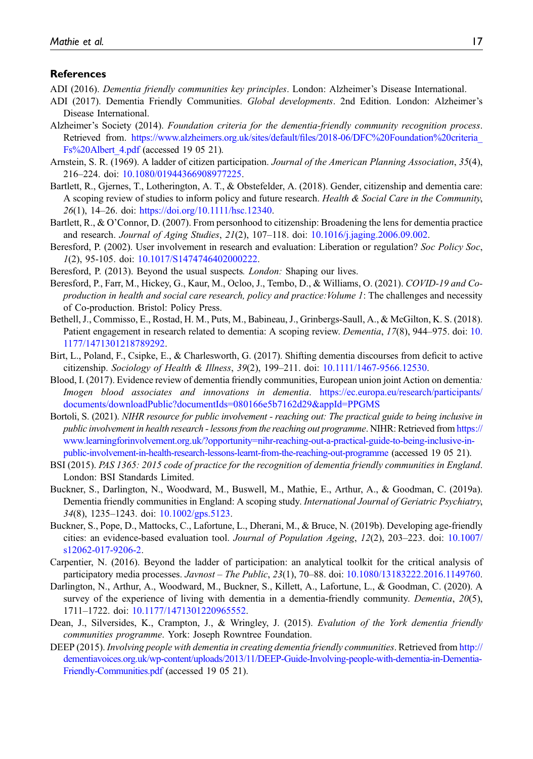#### References

- <span id="page-16-0"></span>ADI (2016). Dementia friendly communities key principles. London: Alzheimer's Disease International.
- <span id="page-16-1"></span>ADI (2017). Dementia Friendly Communities. Global developments. 2nd Edition. London: Alzheimer's Disease International.
- <span id="page-16-4"></span>Alzheimer's Society (2014). Foundation criteria for the dementia-friendly community recognition process. Retrieved from. https://www.alzheimers.org.uk/sites/default/fi[les/2018-06/DFC%20Foundation%20criteria\\_](https://www.alzheimers.org.uk/sites/default/files/2018-06/DFC%20Foundation%20criteria_Fs%20Albert_4.pdf) [Fs%20Albert\\_4.pdf](https://www.alzheimers.org.uk/sites/default/files/2018-06/DFC%20Foundation%20criteria_Fs%20Albert_4.pdf) (accessed 19 05 21).
- <span id="page-16-12"></span>Arnstein, S. R. (1969). A ladder of citizen participation. Journal of the American Planning Association, 35(4), 216–224. doi: [10.1080/01944366908977225](https://doi.org/10.1080/01944366908977225).
- <span id="page-16-19"></span>Bartlett, R., Gjernes, T., Lotherington, A. T., & Obstefelder, A. (2018). Gender, citizenship and dementia care: A scoping review of studies to inform policy and future research. Health & Social Care in the Community, 26(1), 14–26. doi: [https://doi.org/10.1111/hsc.12340.](https://doi.org/10.1111/hsc.12340)
- <span id="page-16-7"></span>Bartlett, R., & O'Connor, D. (2007). From personhood to citizenship: Broadening the lens for dementia practice and research. *Journal of Aging Studies, 21*(2), 107–118. doi: [10.1016/j.jaging.2006.09.002.](https://doi.org/10.1016/j.jaging.2006.09.002)
- <span id="page-16-15"></span>Beresford, P. (2002). User involvement in research and evaluation: Liberation or regulation? Soc Policy Soc, 1(2), 95-105. doi: [10.1017/S1474746402000222.](https://doi.org/10.1017/S1474746402000222)
- <span id="page-16-18"></span><span id="page-16-13"></span>Beresford, P. (2013). Beyond the usual suspects. *London:* Shaping our lives.
- Beresford, P., Farr, M., Hickey, G., Kaur, M., Ocloo, J., Tembo, D., & Williams, O. (2021). COVID-19 and Coproduction in health and social care research, policy and practice: Volume 1: The challenges and necessity of Co-production. Bristol: Policy Press.
- <span id="page-16-17"></span>Bethell, J., Commisso, E., Rostad, H. M., Puts, M., Babineau, J., Grinbergs-Saull, A., & McGilton, K. S. (2018). Patient engagement in research related to dementia: A scoping review. Dementia, 17(8), 944–975. doi: [10.](https://doi.org/10.1177/1471301218789292) [1177/1471301218789292](https://doi.org/10.1177/1471301218789292).
- <span id="page-16-8"></span>Birt, L., Poland, F., Csipke, E., & Charlesworth, G. (2017). Shifting dementia discourses from deficit to active citizenship. Sociology of Health & Illness,  $39(2)$ ,  $199-211$ . doi:  $10.1111/1467-9566.12530$ .
- <span id="page-16-6"></span>Blood, I. (2017). Evidence review of dementia friendly communities, European union joint Action on dementia: Imogen blood associates and innovations in dementia. [https://ec.europa.eu/research/participants/](https://www.learningforinvolvement.org.uk/?opportunity=nihr-reaching-out-a-practical-guide-to-being-inclusive-in-public-involvement-in-health-research-lessons-learnt-from-the-reaching-out-programme) [documents/downloadPublic?documentIds=080166e5b7162d29&appId=PPGMS](https://www.learningforinvolvement.org.uk/?opportunity=nihr-reaching-out-a-practical-guide-to-being-inclusive-in-public-involvement-in-health-research-lessons-learnt-from-the-reaching-out-programme)
- <span id="page-16-16"></span>Bortoli, S. (2021). NIHR resource for public involvement - reaching out: The practical guide to being inclusive in public involvement in health research - lessons from the reaching out programme. NIHR: Retrieved from [https://](https://www.learningforinvolvement.org.uk/?opportunity=nihr-reaching-out-a-practical-guide-to-being-inclusive-in-public-involvement-in-health-research-lessons-learnt-from-the-reaching-out-programme) [www.learningforinvolvement.org.uk/?opportunity=nihr-reaching-out-a-practical-guide-to-being-inclusive-in](https://www.learningforinvolvement.org.uk/?opportunity=nihr-reaching-out-a-practical-guide-to-being-inclusive-in-public-involvement-in-health-research-lessons-learnt-from-the-reaching-out-programme)[public-involvement-in-health-research-lessons-learnt-from-the-reaching-out-programme](https://www.learningforinvolvement.org.uk/?opportunity=nihr-reaching-out-a-practical-guide-to-being-inclusive-in-public-involvement-in-health-research-lessons-learnt-from-the-reaching-out-programme) (accessed 19 05 21).
- <span id="page-16-3"></span>BSI (2015). PAS 1365: 2015 code of practice for the recognition of dementia friendly communities in England. London: BSI Standards Limited.
- <span id="page-16-2"></span>Buckner, S., Darlington, N., Woodward, M., Buswell, M., Mathie, E., Arthur, A., & Goodman, C. (2019a). Dementia friendly communities in England: A scoping study. International Journal of Geriatric Psychiatry, 34(8), 1235–1243. doi: [10.1002/gps.5123](https://doi.org/10.1002/gps.5123).
- <span id="page-16-11"></span>Buckner, S., Pope, D., Mattocks, C., Lafortune, L., Dherani, M., & Bruce, N. (2019b). Developing age-friendly cities: an evidence-based evaluation tool. Journal of Population Ageing, 12(2), 203–223. doi: [10.1007/](https://doi.org/10.1007/s12062-017-9206-2) [s12062-017-9206-2.](https://doi.org/10.1007/s12062-017-9206-2)
- <span id="page-16-14"></span>Carpentier, N. (2016). Beyond the ladder of participation: an analytical toolkit for the critical analysis of participatory media processes. Javnost – The Public, 23(1), 70–88. doi: [10.1080/13183222.2016.1149760](https://doi.org/10.1080/13183222.2016.1149760).
- <span id="page-16-9"></span>Darlington, N., Arthur, A., Woodward, M., Buckner, S., Killett, A., Lafortune, L., & Goodman, C. (2020). A survey of the experience of living with dementia in a dementia-friendly community. Dementia, 20(5), 1711–1722. doi: [10.1177/1471301220965552](https://doi.org/10.1177/1471301220965552).
- <span id="page-16-10"></span>Dean, J., Silversides, K., Crampton, J., & Wringley, J. (2015). Evalution of the York dementia friendly communities programme. York: Joseph Rowntree Foundation.
- <span id="page-16-5"></span>DEEP (2015). Involving people with dementia in creating dementia friendly communities. Retrieved from [http://](http://dementiavoices.org.uk/wp-content/uploads/2013/11/DEEP-Guide-Involving-people-with-dementia-in-Dementia-Friendly-Communities.pdf) [dementiavoices.org.uk/wp-content/uploads/2013/11/DEEP-Guide-Involving-people-with-dementia-in-Dementia-](http://dementiavoices.org.uk/wp-content/uploads/2013/11/DEEP-Guide-Involving-people-with-dementia-in-Dementia-Friendly-Communities.pdf)[Friendly-Communities.pdf](http://dementiavoices.org.uk/wp-content/uploads/2013/11/DEEP-Guide-Involving-people-with-dementia-in-Dementia-Friendly-Communities.pdf) (accessed 19 05 21).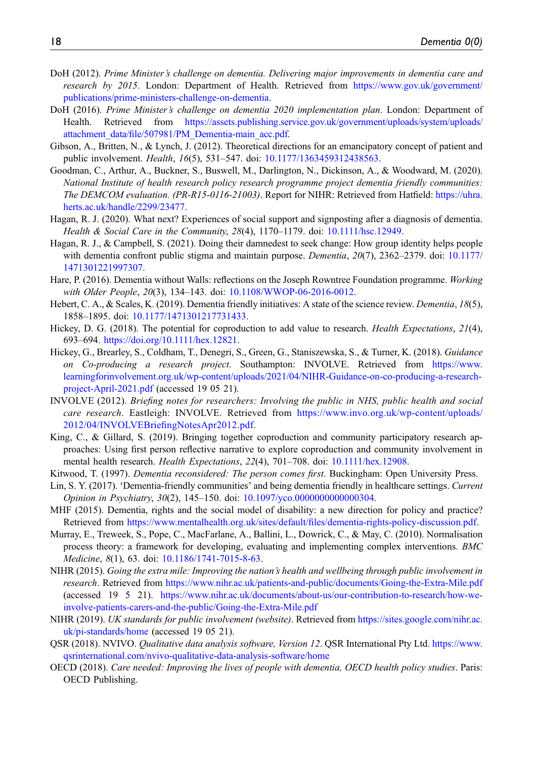- <span id="page-17-1"></span>DoH (2012). Prime Minister's challenge on dementia. Delivering major improvements in dementia care and research by 2015. London: Department of Health. Retrieved from [https://www.gov.uk/government/](https://www.gov.uk/government/publications/prime-ministers-challenge-on-dementia) [publications/prime-ministers-challenge-on-dementia](https://www.gov.uk/government/publications/prime-ministers-challenge-on-dementia).
- <span id="page-17-4"></span>DoH (2016). Prime Minister's challenge on dementia 2020 implementation plan. London: Department of Health. Retrieved from [https://assets.publishing.service.gov.uk/government/uploads/system/uploads/](https://assets.publishing.service.gov.uk/government/uploads/system/uploads/attachment_data/file/507981/PM_Dementia-main_acc.pdf) attachment\_data/fi[le/507981/PM\\_Dementia-main\\_acc.pdf](https://assets.publishing.service.gov.uk/government/uploads/system/uploads/attachment_data/file/507981/PM_Dementia-main_acc.pdf).
- <span id="page-17-16"></span>Gibson, A., Britten, N., & Lynch, J. (2012). Theoretical directions for an emancipatory concept of patient and public involvement. Health, 16(5), 531–547. doi: [10.1177/1363459312438563](https://doi.org/10.1177/1363459312438563).
- <span id="page-17-6"></span>Goodman, C., Arthur, A., Buckner, S., Buswell, M., Darlington, N., Dickinson, A., & Woodward, M. (2020). National Institute of health research policy research programme project dementia friendly communities: The DEMCOM evaluation. (PR-R15-0116-21003). Report for NIHR: Retrieved from Hatfield: [https://uhra.](https://uhra.herts.ac.uk/handle/2299/23477) [herts.ac.uk/handle/2299/23477](https://uhra.herts.ac.uk/handle/2299/23477).
- <span id="page-17-9"></span>Hagan, R. J. (2020). What next? Experiences of social support and signposting after a diagnosis of dementia. Health & Social Care in the Community, 28(4), 1170–1179. doi: [10.1111/hsc.12949](https://doi.org/10.1111/hsc.12949).
- <span id="page-17-13"></span>Hagan, R. J., & Campbell, S. (2021). Doing their damnedest to seek change: How group identity helps people with dementia confront public stigma and maintain purpose. *Dementia*, 20(7), 2362–2379. doi: [10.1177/](https://doi.org/10.1177/1471301221997307) [1471301221997307](https://doi.org/10.1177/1471301221997307).
- <span id="page-17-14"></span>Hare, P. (2016). Dementia without Walls: reflections on the Joseph Rowntree Foundation programme. Working with Older People, 20(3), 134-143. doi: [10.1108/WWOP-06-2016-0012](https://doi.org/10.1108/WWOP-06-2016-0012).
- <span id="page-17-2"></span>Hebert, C. A., & Scales, K. (2019). Dementia friendly initiatives: A state of the science review. *Dementia*, 18(5), 1858–1895. doi: [10.1177/1471301217731433.](https://doi.org/10.1177/1471301217731433)
- <span id="page-17-8"></span>Hickey, D. G. (2018). The potential for coproduction to add value to research. *Health Expectations*, 21(4), 693–694. [https://doi.org/10.1111/hex.12821.](https://doi.org/10.1111/hex.12821)
- <span id="page-17-11"></span>Hickey, G., Brearley, S., Coldham, T., Denegri, S., Green, G., Staniszewska, S., & Turner, K. (2018). Guidance on Co-producing a research project. Southampton: INVOLVE. Retrieved from [https://www.](https://www.learningforinvolvement.org.uk/wp-content/uploads/2021/04/NIHR-Guidance-on-co-producing-a-research-project-April-2021.pdf) [learningforinvolvement.org.uk/wp-content/uploads/2021/04/NIHR-Guidance-on-co-producing-a-research](https://www.learningforinvolvement.org.uk/wp-content/uploads/2021/04/NIHR-Guidance-on-co-producing-a-research-project-April-2021.pdf)[project-April-2021.pdf](https://www.learningforinvolvement.org.uk/wp-content/uploads/2021/04/NIHR-Guidance-on-co-producing-a-research-project-April-2021.pdf) (accessed 19 05 21).
- <span id="page-17-7"></span>INVOLVE (2012). Briefing notes for researchers: Involving the public in NHS, public health and social care research. Eastleigh: INVOLVE. Retrieved from [https://www.invo.org.uk/wp-content/uploads/](https://www.invo.org.uk/wp-content/uploads/2012/04/INVOLVEBriefingNotesApr2012.pdf) [2012/04/INVOLVEBrie](https://www.invo.org.uk/wp-content/uploads/2012/04/INVOLVEBriefingNotesApr2012.pdf)fingNotesApr2012.pdf.
- <span id="page-17-17"></span>King, C., & Gillard, S. (2019). Bringing together coproduction and community participatory research approaches: Using first person reflective narrative to explore coproduction and community involvement in mental health research. *Health Expectations*, 22(4), 701–708. doi: [10.1111/hex.12908](https://doi.org/10.1111/hex.12908).
- <span id="page-17-19"></span>Kitwood, T. (1997). *Dementia reconsidered: The person comes first*. Buckingham: Open University Press.
- <span id="page-17-3"></span>Lin, S. Y. (2017). 'Dementia-friendly communities' and being dementia friendly in healthcare settings. Current Opinion in Psychiatry, 30(2), 145–150. doi: [10.1097/yco.0000000000000304](https://doi.org/10.1097/yco.0000000000000304).
- <span id="page-17-10"></span>MHF (2015). Dementia, rights and the social model of disability: a new direction for policy and practice? Retrieved from [https://www.mentalhealth.org.uk/sites/default/](https://www.mentalhealth.org.uk/sites/default/files/dementia-rights-policy-discussion.pdf)files/dementia-rights-policy-discussion.pdf.
- <span id="page-17-15"></span>Murray, E., Treweek, S., Pope, C., MacFarlane, A., Ballini, L., Dowrick, C., & May, C. (2010). Normalisation process theory: a framework for developing, evaluating and implementing complex interventions. BMC Medicine, 8(1), 63. doi: [10.1186/1741-7015-8-63.](https://doi.org/10.1186/1741-7015-8-63)
- <span id="page-17-12"></span>NIHR (2015). Going the extra mile: Improving the nation's health and wellbeing through public involvement in research. Retrieved from <https://www.nihr.ac.uk/patients-and-public/documents/Going-the-Extra-Mile.pdf> (accessed 19 5 21). [https://www.nihr.ac.uk/documents/about-us/our-contribution-to-research/how-we](https://www.nihr.ac.uk/documents/about-us/our-contribution-to-research/how-we-involve-patients-carers-and-the-public/Going-the-Extra-Mile.pdf)[involve-patients-carers-and-the-public/Going-the-Extra-Mile.pdf](https://www.nihr.ac.uk/documents/about-us/our-contribution-to-research/how-we-involve-patients-carers-and-the-public/Going-the-Extra-Mile.pdf)
- <span id="page-17-18"></span>NIHR (2019). UK standards for public involvement (website). Retrieved from [https://sites.google.com/nihr.ac.](https://sites.google.com/nihr.ac.uk/pi-standards/home) [uk/pi-standards/home](https://sites.google.com/nihr.ac.uk/pi-standards/home) (accessed 19 05 21).
- <span id="page-17-5"></span>QSR (2018). NVIVO. Qualitative data analysis software, Version 12. QSR International Pty Ltd. [https://www.](https://www.qsrinternational.com/nvivo-qualitative-data-analysis-software/home) [qsrinternational.com/nvivo-qualitative-data-analysis-software/home](https://www.qsrinternational.com/nvivo-qualitative-data-analysis-software/home)
- <span id="page-17-0"></span>OECD (2018). Care needed: Improving the lives of people with dementia, OECD health policy studies. Paris: OECD Publishing.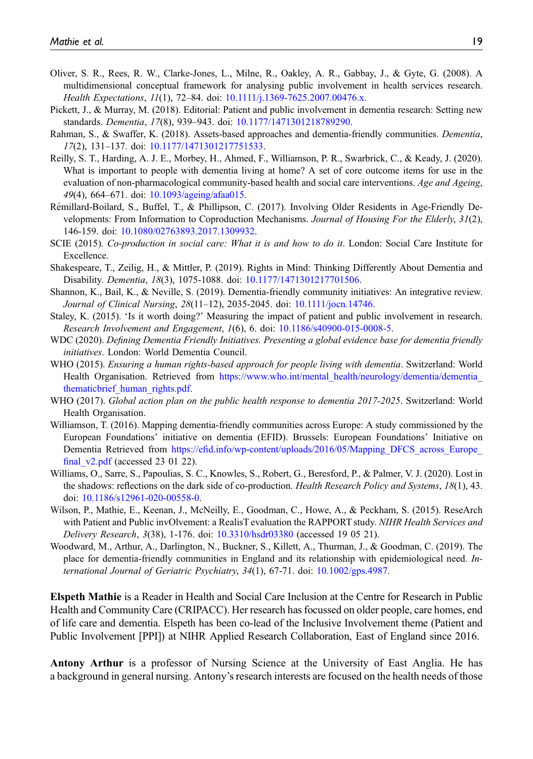- <span id="page-18-5"></span>Oliver, S. R., Rees, R. W., Clarke-Jones, L., Milne, R., Oakley, A. R., Gabbay, J., & Gyte, G. (2008). A multidimensional conceptual framework for analysing public involvement in health services research. Health Expectations, 11(1), 72–84. doi: [10.1111/j.1369-7625.2007.00476.x](https://doi.org/10.1111/j.1369-7625.2007.00476.x).
- <span id="page-18-15"></span>Pickett, J., & Murray, M. (2018). Editorial: Patient and public involvement in dementia research: Setting new standards. Dementia, 17(8), 939–943. doi: [10.1177/1471301218789290.](https://doi.org/10.1177/1471301218789290)
- <span id="page-18-10"></span>Rahman, S., & Swaffer, K. (2018). Assets-based approaches and dementia-friendly communities. Dementia, 17(2), 131–137. doi: [10.1177/1471301217751533](https://doi.org/10.1177/1471301217751533).
- <span id="page-18-11"></span>Reilly, S. T., Harding, A. J. E., Morbey, H., Ahmed, F., Williamson, P. R., Swarbrick, C., & Keady, J. (2020). What is important to people with dementia living at home? A set of core outcome items for use in the evaluation of non-pharmacological community-based health and social care interventions. Age and Ageing, 49(4), 664–671. doi: [10.1093/ageing/afaa015.](https://doi.org/10.1093/ageing/afaa015)
- <span id="page-18-7"></span>Remillard-Boilard, S., Buffel, T., & Phillipson, C. (2017). Involving Older Residents in Age-Friendly De- ´ velopments: From Information to Coproduction Mechanisms. Journal of Housing For the Elderly, 31(2), 146-159. doi: [10.1080/02763893.2017.1309932](https://doi.org/10.1080/02763893.2017.1309932).
- <span id="page-18-6"></span>SCIE (2015). Co-production in social care: What it is and how to do it. London: Social Care Institute for Excellence.
- <span id="page-18-8"></span>Shakespeare, T., Zeilig, H., & Mittler, P. (2019). Rights in Mind: Thinking Differently About Dementia and Disability. Dementia, 18(3), 1075-1088. doi: [10.1177/1471301217701506.](https://doi.org/10.1177/1471301217701506)
- <span id="page-18-1"></span>Shannon, K., Bail, K., & Neville, S. (2019). Dementia-friendly community initiatives: An integrative review. Journal of Clinical Nursing, 28(11–12), 2035-2045. doi: [10.1111/jocn.14746](https://doi.org/10.1111/jocn.14746).
- <span id="page-18-13"></span>Staley, K. (2015). 'Is it worth doing?' Measuring the impact of patient and public involvement in research. Research Involvement and Engagement, 1(6), 6. doi: [10.1186/s40900-015-0008-5.](https://doi.org/10.1186/s40900-015-0008-5)
- <span id="page-18-2"></span>WDC (2020). Defining Dementia Friendly Initiatives. Presenting a global evidence base for dementia friendly initiatives. London: World Dementia Council.
- <span id="page-18-9"></span>WHO (2015). Ensuring a human rights-based approach for people living with dementia. Switzerland: World Health Organisation. Retrieved from https://www.who.int/mental\_health/neurology/dementia/dementia [thematicbrief\\_human\\_rights.pdf.](https://www.who.int/mental_health/neurology/dementia/dementia_thematicbrief_human_rights.pdf)
- <span id="page-18-0"></span>WHO (2017). Global action plan on the public health response to dementia 2017-2025. Switzerland: World Health Organisation.
- <span id="page-18-3"></span>Williamson, T. (2016). Mapping dementia-friendly communities across Europe: A study commissioned by the European Foundations' initiative on dementia (EFID). Brussels: European Foundations' Initiative on Dementia Retrieved from https://efid.info/wp-content/uploads/2016/05/Mapping DFCS across Europe final  $v2.pdf$  (accessed 23 01 22).
- <span id="page-18-12"></span>Williams, O., Sarre, S., Papoulias, S. C., Knowles, S., Robert, G., Beresford, P., & Palmer, V. J. (2020). Lost in the shadows: reflections on the dark side of co-production. *Health Research Policy and Systems*, 18(1), 43. doi: [10.1186/s12961-020-00558-0](https://doi.org/10.1186/s12961-020-00558-0).
- <span id="page-18-14"></span>Wilson, P., Mathie, E., Keenan, J., McNeilly, E., Goodman, C., Howe, A., & Peckham, S. (2015). ReseArch with Patient and Public invOlvement: a RealisT evaluation the RAPPORT study. NIHR Health Services and Delivery Research, 3(38), 1-176. doi: [10.3310/hsdr03380](https://doi.org/10.3310/hsdr03380) (accessed 19 05 21).
- <span id="page-18-4"></span>Woodward, M., Arthur, A., Darlington, N., Buckner, S., Killett, A., Thurman, J., & Goodman, C. (2019). The place for dementia-friendly communities in England and its relationship with epidemiological need. International Journal of Geriatric Psychiatry, 34(1), 67-71. doi: [10.1002/gps.4987](https://doi.org/10.1002/gps.4987).

Elspeth Mathie is a Reader in Health and Social Care Inclusion at the Centre for Research in Public Health and Community Care (CRIPACC). Her research has focussed on older people, care homes, end of life care and dementia. Elspeth has been co-lead of the Inclusive Involvement theme (Patient and Public Involvement [PPI]) at NIHR Applied Research Collaboration, East of England since 2016.

Antony Arthur is a professor of Nursing Science at the University of East Anglia. He has a background in general nursing. Antony's research interests are focused on the health needs of those